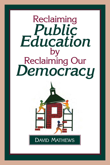# *Public Education Democracy* by Reclaiming Our Reclaiming



DAVID MATHEWS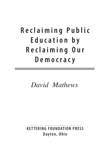## **Reclaiming Public E ducation by Reclaiming Our Democracy**

*David Mathews*

**KETTERING FOUNDATION PRESS Dayton, Ohio**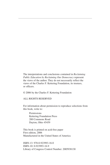The interpretations and conclusions contained in *Reclaiming Public Education by Reclaiming Our Democracy* represent the views of the author. They do not necessarily reflect the views of the Charles F. Kettering Foundation, its trustees, or officers.

© 2006 by the Charles F. Kettering Foundation

#### ALL RIGHTS RESERVED

For information about permission to reproduce selections from this book, write to:

Permissions Kettering Foundation Press 200 Commons Road Dayton, Ohio 45459

This book is printed on acid-free paper First edition, 2006 Manufactured in the United States of America

ISBN-13: 978-0-923993-16-0 ISBN-10: 0-923993-16-9 Library of Congress Control Number: 2005938130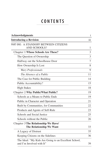### **CONTENTS**

| <b>Acknowledgments</b>                                                             | $\mathbf{1}$   |
|------------------------------------------------------------------------------------|----------------|
| <b>Introducing a Revision</b>                                                      | iii            |
| PART ONE: A STANDOFF BETWEEN CITIZENS<br><b>AND SCHOOLS?</b>                       | 1              |
| <b>Chapter 1 Whose Schools Are These?</b>                                          | 3              |
| The Question of Ownership                                                          | 3              |
| Halfway out the Schoolhouse Door                                                   | $\overline{7}$ |
| How Ownership Is Lost                                                              | 8              |
| <b>Wary Professionals</b>                                                          | 9              |
| The Absence of a Public                                                            | 11             |
| The Case for Public Building                                                       | 14             |
| Public Accountability?                                                             | 15             |
| <b>High Stakes</b>                                                                 | 18             |
| <b>Chapter 2 Why Public/What Public?</b>                                           | 19             |
| Schools as a Means to Public Ends                                                  | 19             |
| Public in Character and Operation                                                  | 21             |
| Built by Communities, for Communities                                              | 22             |
| Products and Agents of Self-Rule                                                   | 23             |
| Schools and Social Justice                                                         | 25             |
| Schools without the Public                                                         | 26             |
| <b>Chapter 3 The Relationship We Have/</b><br>The Relationship We Want             | 33             |
| A Legacy of Distrust                                                               | 35             |
| Keeping Citizens on the Sidelines                                                  | 36             |
| The Ideal: "My Kids Are Going to an Excellent School,<br>and I'm Involved with It" | 39             |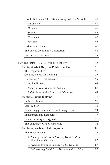| People Talk about Their Relationship with the Schools               | 41       |
|---------------------------------------------------------------------|----------|
| <b>Inattentives</b>                                                 | 41       |
| Dropouts                                                            | 41       |
| <b>Shutouts</b>                                                     | 42       |
| Consumers                                                           | 43       |
| Partners                                                            | 44       |
| Partners as Owners                                                  | 45       |
| The Latent Community Connection                                     | 46       |
| <b>Bureaucratic Barriers</b>                                        | 49       |
| PART TWO: RETHINKING "THE PUBLIC"                                   | 53       |
| <b>Chapter 4 What Only the Public Can Do</b>                        | 55       |
| The Opportunities<br><b>Creating Places for Learning</b>            | 55<br>57 |
| Harnessing All That Educates                                        | 59       |
| <b>Using Public Work</b>                                            | 62       |
| <b>Public Work to Reinforce Schools</b>                             | 62       |
| Public Work in the Politics of Education                            | 67       |
| <b>Chapter 5 Public Building</b>                                    | 71       |
| In the Beginning                                                    | 71       |
| Step-by-Step                                                        | 72       |
| Public Engagement and School Engagement                             | 74       |
| <b>Engagement and Democracy</b>                                     | 77       |
| Public Building in Suggsville                                       | 78       |
| The Language of Public Building                                     | 82       |
| <b>Chapter 6 Practices That Empower</b>                             | 85       |
| The Fundamentals                                                    | 85       |
| 1. Naming Problems in Terms of What Is Most<br>Valuable to Citizens | 85       |
| 2. Framing Issues to Identify All the Options                       | 88       |
| 3. Deliberating Publicly to Make Sound Decisions                    | 92       |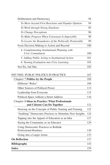| Deliberation and Democracy                                           | 94         |
|----------------------------------------------------------------------|------------|
| To Move beyond First Reactions and Popular Opinion                   | 94         |
| To Work through Strong Emotions                                      | 95         |
| To Change Perceptions                                                | 96         |
| To Make Progress When Consensus Is Impossible                        | 98         |
| To Locate the Boundaries of the Politically Permissible              | 99         |
| From Decision Making to Action and Beyond                            | 100        |
| 4. Complementing Institutional Planning with<br>Civic Commitment     | 100        |
| 5. Adding Public Acting to Institutional Action                      | 101        |
| 6. Turning Evaluation into Civic Learning                            | 103        |
| Not Six, but One                                                     | 105        |
| PART THREE: PUBLIC POLITICS IN PRACTICE                              | 107<br>109 |
| <b>Chapter 7 Politics by the People</b><br>Different "Rules"         | 109        |
| Other Sources of Political Power                                     | 113        |
|                                                                      | 115        |
| Leadership from Everyone<br>Political Space without a Street Address | 116        |
| <b>Chapter 8 Ideas in Practice: What Professionals</b>               |            |
| and Citizens Can Do Together                                         | 121        |
| Drawing on the Concepts of Public Naming and Framing                 | 122        |
| "Auditing" Democratic Practices to Stimulate New Insights            | 124        |
| Tapping into the Appeal of Education as an Idea                      | 127        |
| Seeing the Community as an Educator                                  | 129        |
| Using Democratic Practices to Rethink                                |            |
| Professional Routines                                                | 130        |
|                                                                      |            |
| Going into a Larger Arena                                            |            |
|                                                                      | 133<br>137 |
| <b>On Reflection</b><br><b>Bibliography</b>                          | 143        |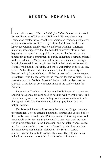#### **ACKNOWLEDGMENTS**

n an earlier book, *Is There a Public for Public Schools?*, I thanked In an earlier book, *Is There a Public for Public Schools?*, I that former Governor of Mississippi William F. Winter, a Kettering Foundation trustee, who gave the foundation an insider's perspective on the school reforms of the early 1980s. And I thanked the late Lawrence Cremin, another trustee and prize-winning American historian, who suggested that the foundation investigate what was happening to the social and political mandates that had driven the nineteenth-century commitment to public education. I remain grateful to them and also to Mary Hatwood Futrell, who chairs Kettering's board. She tested drafts of this new book in her graduate courses at George Washington University and was a wellspring of good advice. (Harris Sokoloff also tested the manuscript at the University of Pennsylvania.) I am indebted to all the trustees and to my colleagues at Kettering who helped organize the research for this volume. Connie Crockett, Randall Nielsen, Maxine Thomas, and Carolyn Farrow-Garland, in particular, ably directed most of the studies done for Kettering.

Research by The Harwood Institute, Doble Research Associates, and Public Agenda has continued to hold up well over the years, and I drew heavily on their recent findings—always with admiration for their good work. The footnotes and bibliography identify other helpful sources.

Ken Barr and Rebecca Rose were the latest in a large company of researchers who investigated countless sources and checked all of the details I overlooked. Juliet Potter, a model of thoroughness, took responsibility for the quantitative data. No one went over the manuscript more often than Anne Thomason, and her attentiveness saved me from innumerable errors. Harris Dienstfrey, who has excellent instincts about organization, followed Judy Suratt, a superb editor. They did the initial reviews. Most recently, Paloma Dallas helped me be clearer about the ideas introduced in the text.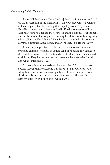I was delighted when Kathy Heil rejoined the foundation and took up the preparation of the manuscript. Angel George Cross, a wizard at the computer, had been doing that, capably assisted by Katie Runella. I value their patience and skill. Finally, our senior editor, Melinda Gilmore, checked the footnotes and the editing. Ever diligent, she has been our chief organizer. Among her duties were finding copy editors, Patricia Henrich and Linda Robinson. Melinda also selected a graphic designer, Steve Long, and an indexer, Lisa Boone-Berry.

I especially appreciate the citizens and civic organizations that provided examples of ideas in action. And once again, my thanks to the people who traveled to the foundation to share their research and criticisms. They helped me see the difference between what I said and what I intended to say.

Margaret Dixon, my assistant for more than 20 years, deserves special recognition for keeping our office in its proper orbit. And Mary Mathews, who was revising a book of her own while I was finishing this one, was more than a silent partner. She has always kept my entire world in its orbit while I write.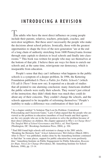#### **INTRODUCING A REVISION**

The adults who have the most direct influence on young people<br>include their narrate, relatives togethers mineinals, assetses and include their parents, relatives, teachers, principals, coaches, and next-door neighbors. But these aren't necessarily the people who make the decisions about school policies. Ironically, those with the greatest opportunities to shape the lives of the next generation "are at the end of a long chain of authority stretching from 1600 Pennsylvania Avenue through state capitals to districts to local schools and finally into classrooms."1 This book was written for people who may see themselves at the bottom of that pile. I believe there are ways for them to enrich our schools and, at the same time, reinvigorate our democracy, which is inseparable from education.

People's sense that they can't influence what happens in the public schools is a symptom of a deeper problem. In 1996, the Kettering Foundation published *Is There a Public for Public Schools?* (which I'll call *Is There?* from now on). It reported on a decade of studies that all pointed to one alarming conclusion: many Americans doubted the public schools were really their schools. They weren't just critical of the instruction; they didn't think there was much they could do about any of their concerns. They couldn't change the schools, and the schools appeared to be incapable of reforming themselves.<sup>2</sup> People's inability to make a difference was confirmation of their lack of

<sup>1</sup> In a chapter entitled "A Solution That Lost Its Problem: Centralized Policymaking and Classroom Gains," Larry Cuban argued that the people who are viewed as the problem in education (members of local boards and their agents) are the very people who are in the best position to solve the problem because of their direct influence on children. His chapter appeared in *Who's in Charge Here? The Tangled Web of School Governance and Policy*, ed. Noel Epstein (Washington, DC: Brookings Institution Press, 2004), p. 104.

<sup>2</sup> Paul Hill found high schools still resistant to change in his 2001 article, "Breaking the Hermetic Seal," *School Administrator Web Edition* (March 2001). After *Is There?* was published, studies done by the Annenberg Institute continued to find that "in some places, support for public education has worn perilously thin." Annenberg Institute on Public Engagement for Public Education, *Reasons for Hope, Voices for Change* (Providence, RI: Annenberg Institute for School Reform, 1998), pp. 13-14.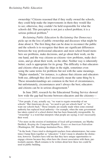ownership.3 Citizens reasoned that if they really owned the schools, they could help make the improvements in them they would like to see; otherwise, they couldn't be held responsible for what the schools did. This perception is not just a school problem; it is a serious political problem.<sup>4</sup>

*Reclaiming Public Education by Reclaiming Our Democracy* picks up on the loss of public ownership and discusses what might be done about it. The first thing that can be done to reconnect the public and the schools is to recognize that there are significant differences between the way professional educators and most school board members see problems, make decisions, and go about their work, on the one hand, and the way citizens-as-citizens view problems, make decisions, and go about their work, on the other. Neither way is inherently better; each is appropriate for its group. The difficulty is that educators and citizens often pass like ships in the night, sometimes even using the same terms for problems but not with the same meanings. "Higher standards," for instance, is a phrase that citizens and educators both use, although they don't necessarily mean the same thing by it. These misunderstandings are common in the best of circumstances, but unfortunately, circumstances aren't always the best; educators and citizens can be in serious disagreement.5

In June 2005, research by the Educational Testing Service showed how wide the gap had become between educators and the citizenry—

4 For more on the erosion of institutions of local self-government, see Martha Derthick, *Keeping the Compound Republic: Essays on American Federalism* (Washington, DC: Brookings Institution Press, 2001).

<sup>5</sup> In the book, I have tried to distinguish teachers from administrators, but sometimes I lump them together as "educators." I don't mean to abandon the distinction, however. Teachers have told me that they have unique opportunities to engage citizens because they often have the closest association with them, particularly parents. Much remains to be written about how these ties could be used in public building.

<sup>3</sup> Few people, if any, actually say, "we want to regain ownership of our schools." But Americans do say, "we need to get our schools back" or "we want our schools back." Those remarks are usually made when some external authority has replaced local authority—for example, when the state government has taken control of a school district that has been financially irresponsible. So "ownership" is a word that interprets what people are saying; it isn't necessarily their word.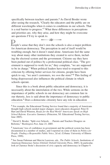specifically between teachers and parents.<sup>6</sup> As David Broder wrote after seeing the research, "Clearly the educators and the public are on different wavelengths when it comes to conditions in our schools. That is a real barrier to progress."7 What these differences in perceptions and priorities are, why they arise, and how they might be overcome are questions I'll try to speak to.

 $\Rightarrow$ 

**Example**'s sense that they don't own the schools is also a major problem for American democracy. The perception in and of itself would be troubling enough, but it doesn't stand alone. Americans feel the same way about many other institutions they created to serve them, including the electoral system and the government. Citizens say they have been pushed out of politics by a professional political class. "The government is supposed to work for us," they complain, "we are supposed to be in charge." When political leaders have tried to respond to this criticism by offering better services for citizens, people have been quick to say, "we aren't customers, we *own* the store!"8 This feeling of being dispossessed also influences the political climate in which schools operate.

Since this is a book about public education and democracy, it is necessarily about the interrelation of the two. While sermons on the importance of public schools in our democracy are common fare in our rhetoric, less is said about the importance of democracy to public education.9 Does a democratic citizenry have any role in education

<sup>6</sup> For example, the Educational Testing Service found that a majority of Americans thought high schools needed major changes; most educators disagreed. Peter D. Hart and David Winston, *Ready for the Real World? Americans Speak on High School Reform: Executive Summary* (Princeton, NJ: Educational Testing Service, June 2005).

7 David S. Broder, "Split over Schools . . . Parents and Teachers Disagree on Reforms," *Washington Post*, June 23, 2005.

8 Americans' loss of confidence in government and the political system has been documented in a number of studies, and I reported on some of them in *Politics for People: Finding a Responsible Public Voice*, 2d ed. (Urbana: University of Illinois Press, 1999).

9 See Susan Fuhrman and Marvin Lazerson, eds., *The Public Schools*, Institutions of American Democracy Series (Oxford: Oxford University Press, 2005). In particular, look at Clarence Stone's discussion of civic capacity and democracy in Chapter 9.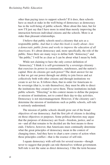other than paying taxes to support schools? If it does, then schools have as much at stake in the well-being of democracy as democracy has in the well-being of public schools. More about this later, but for now I'll just say that I have more in mind than merely improving the interaction between individual citizens and the schools. More is at stake than pleasant relationships.

I believe that public schools need a citizenry that acts as a responsible public. *And that is what this book is really about—how a democratic public forms and works to improve the education of all Americans.* It's about democracy and, more specifically, the role of the public. Since there are many ways to define both "democracy" and "the public," I will be as clear as I can be about what I mean by both.

While not claiming to have the only correct definition of "democracy," I think it is self-government by a sovereign citizenry that exercises its power in communities, statehouses, and the nation's capital. How do citizens get such power? The short answer for me is that we get our power through our ability to join forces and act collectively both with other citizens and through institutions we create to act for us. It follows then, that in order for Americans to be sovereign (that is, to rule themselves), they must be able to direct the institutions they created to serve them. Those institutions include public schools. "Directing" in this context means to define the purpose or mission of institutions, not to control their day-to-day activities. Democracy is not micromanagement. However, if the citizenry can't determine the mission of institutions such as public schools, self-rule is seriously undermined.

The mission of public schools should grow out of the broad objectives of our democracy. And the first job of citizens is deciding on those objectives or purposes. Some political theorists may argue that the purposes of democracy are fixed—freedom, justice, and so on—and all that remains to be decided are the best means to those ends. I believe, however, that Americans must continually determine what the great principles of democracy mean in the context of changing times. And they have to chart a new course of action when those principles conflict—that is the essence of self-rule.

I equate democracy with self-rule for several reasons—though never to suggest that people can rule themselves without government. Self-rule is not the same as direct democracy. I like the term because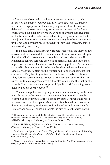self-rule is consistent with the literal meaning of democracy, which is "rule by the people." Our Constitution says that "We, the People" are the sovereign power in the country, a power I don't believe was delegated to the state once the government was created.10 Self-rule characterized the distinctively American political system that developed on the frontier in the early nineteenth century, a system in which citizens joined forces to bring their collective strength to bear on common problems, and a system based on ideals of individual freedom, shared responsibility, and equity.

In a book aptly titled *Self-Rule*, Robert Wiebe tells the story of how citizen politics came to define democracy in frontier America—despite the ruling elite's preference for a republic and not a democracy.11 Nineteenth-century self-rule grew out of barn raisings and town meetings; it was a sweaty, hands-on, problem-solving politics. The democracy of self-rule was rooted in collective decision making and acting especially acting. Settlers on the frontier had to be producers, not just consumers. They had to join forces to build forts, roads, and libraries. They formed associations to combat alcoholism and care for the poor as well as to elect representatives. They also established the first public schools. Their efforts were examples of "public work," meaning work done *by* not just *for* the public.12

You can see public work going on in communities today in the simplest forms of collective action—maybe nothing more than people cleaning up their town to attract outside investors. Citizens take rakes and mowers to the local park. Municipal officials send in crews with dumpsters and heavy equipment to do what rakes and mowers can't.<sup>13</sup> Public work on a larger scale protects the environment, builds housing

11 Robert H. Wiebe, *Self-Rule: A Cultural History of American Democracy* (Chicago: University of Chicago Press, 1995).

12 I took the term "public work" from Harry C. Boyte and Nancy N. Kari, *Building America: The Democratic Promise of Public Work* (Philadelphia: Temple University Press, 1996).

13 More on how citizens act collectively can be found in *For Communities to Work* (Dayton, OH: Kettering Foundation, 2002).

 $10$  The controversy over what the Constitution meant by popular sovereignty is discussed in George M. Dennison's *The Dorr War: Republicanism on Trial, 1831-1861* (Lexington: University of Kentucky Press, 1976).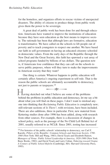for the homeless, and organizes efforts to rescue victims of unexpected disasters. The ability of citizens to produce things from public work gives them the power to be sovereign.

A great deal of public work has been done for and through education. Americans have wanted to improve the institutions of education because they have seen education as the best means to improve society. The rationale has been that although laws are formative, education is transformative. We have called on the schools to lift people out of poverty and to teach youngsters to respect one another. We have based our faith in self-government on having an educated citizenry schooled in democratic values. From the early days of the Republic through the New Deal and the Great Society, this faith has spawned a vast array of school programs funded by billions of tax dollars. The question now is, if Americans lose confidence that they can call on the schools to serve public purposes, where will they turn to make the improvements in American society that they want?

One thing is certain: Whatever happens to public education will certainly affect America's ongoing experiment in self-rule. That is the reason the public schools are ultimately accountable to democracy, not just to parents or taxpayers.<sup>14</sup>

 $\cong$ 

aving sketched out what I believe are some of the problems behind the problems in public education and democracy, let me say a bit about what you will find on these pages. I don't want to mislead anyone into thinking that *Reclaiming Public Education* is completely new; still-relevant sections of *Is There?*, with revisions, have been included. There are also additions, three in particular. First, new material from Kettering studies done after 1996 has been added, along with research from other sources. For example, there is a discussion of changes in school policy, such as the passage of the No Child Left Behind Act of 2001, usually referred to as NCLB. Since 2001, testing has increased

<sup>&</sup>lt;sup>14</sup> For histories of the public schools' relationship to democracy, see Carl F. Kaestle, *Pillars of the Republic: Common Schools and American Society, 1780- 1860* (New York: Hill and Wang, 1983); David Tyack and Elizabeth Hansot, *Managers of Virtue: Public School Leadership in America, 1820-1980* (New York: Basic Books, 1982); and David Tyack and Larry Cuban, *Tinkering toward Utopia: A Century of Public School Reform* (Cambridge, MA: Harvard University Press, 1995).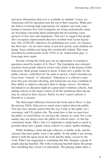and more information than ever is available on students' scores, yet Americans still list education near the top of their concerns. While people believe in having high expectations for students and want some testing to measure how well youngsters are doing academically, many are becoming concerned about unintended but far-reaching consequences of new laws and regulations. That isn't to suggest that people don't recognize improvements that have resulted from recent legislation. One of NCLB's objectives for publishing test scores, for instance, has been met—we are more aware of just how poorly some children are faring. Some children are being left considerably behind. This issue, described by professionals in the 1970s as an "achievement gap," is front-page news again.

Second, writing this book gave me an opportunity to respond to questions raised by readers of *Is There?* The foundation also solicited reactions from people asked to review early drafts of *Reclaiming Public Education.* Both groups wanted to know, if there isn't a public for the public schools, could there be? In order to answer, I had to broaden my focus from "schools" to "education." Education is a collective enterprise that goes beyond schooling, and Americans are more confident in their ability to improve *education* than to change *schools.* Yet citizenled initiatives in education might do a great deal to reinforce schools. And putting schools in the larger context of all the institutions that educate may be critical to their success. Surely we don't expect schools to flourish in a vacuum.

The third major difference between this book and *Is There?* is that *Reclaiming Public Education* is much more explicit about the public. You may have already noticed that the way I refer to the public isn't customary, and I'll explain why. The point here is that we must have the public we need before we can have the schools we want. Yet a community may not always have the public its schools need—or that the community needs. That's why it is important to understand as much as possible about how a public forms, which I've called "public building."

Public building is done through collective or public work, and the citizenry that does public work is the public. So the public I am writing about is both the agent *doing* the work and the entity *created by* the work. What I am suggesting is something like this: Imagine a group of people playing baseball. The work of playing baseball makes the group into something they weren't as individuals. The playing makes them a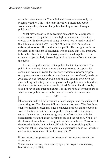team; it creates the team. The individuals become a team only by playing together. This is the sense in which I mean that public work creates the public or that public building is done through public work.

What may appear to be convoluted semantics has a purpose. It allows us to see the public in a new light as a dynamic force that creates itself in the process of doing its work. We normally think of the public as a static body—a group of people. It is more; it is a citizenry-in-motion. The motion is the public. This insight can be as powerful as the insight of physicists who realized that what appeared to be solid objects were also moving atoms joined together.15 The concept has particularly interesting implications for efforts to engage the public.

Let me bring this notion of the public back to the schools. The public I am writing about is more than a grassroots of support for schools or even a citizenry that actively endorses a reform proposal or approves school standards. It is a *citizenry that continually makes or produces things through public work*; that is, through collective decision making and acting. An example of such a public can be found on the American frontier, where people joined forces to build schools, found libraries, and open museums. I'll say more in a few pages about what kind of public work can be done in today's circumstances.

 $\leq$ 

I'll conclude with a brief overview of each chapter and the audiences I am writing for. The chapters fall into three major parts. The first three chapters describe forces that once connected schools and the public as well as the forces that have since pushed them apart. For instance, some of the current divisiveness grows out of frustration with the bureaucratic system that has developed around the schools. Not all of the divisive forces, however, originate within the schools. Citizens have developed attitudes that make it difficult for a responsible public to form. I'm talking specifically about a consumeristic mind-set, which is evident in a weak sense of public ownership.16

<sup>15</sup> I am indebted to a physicist at the University of Dayton, Leno Pedrotti, for this analogy.

<sup>16</sup> Paul Werth Associates, *Final Report* (Dayton, OH: Report to the Kettering Foundation, May 5, 2003).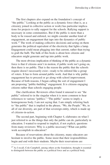The first chapters also expand on the foundation's concept of "the public." Looking at the public as a dynamic force (that is, as a citizenry joined in collective action or work) has particular implications for projects to rally support for the schools. Rallying support is necessary in some communities. But if the public is more than a body to be roused and enlisted, we might consider another kind of engagement, an engagement that taps into the dynamics of public work.17 The work of making collective decisions and acting on them generates the political equivalent of the electricity that lights a lamp. Engagement could mean plugging into that current, rather than trying to grab the bulb. The bulk of this book is about how citizens and educators might generate and tap into public work.

The most obvious implication of thinking of the public as a dynamic force is that if citizens aren't in motion, if public work isn't going on, then there is no public. That is the reason the public that the schools require doesn't necessarily exist—ready to be enlisted like a group of voters. It has to form around public work. And that is why public engagement has to proceed or go along with school improvement. Because of both reasons, I began calling the sort of engagement I am proposing "public-building" engagement. It is citizens engaging citizens rather than schools engaging people.

One clarification: Reviewers often found it unusual to see "the public" referred to in the singular when it is more common to hear references to various "publics." "The public" seems to imply a homogeneous body. I am not saying that. I am simply referring back to "the public" that is implied in the phrase, "We, the People." We, in all of our diversity, are part of that sovereign entity, which is made up of citizens-in-action.

The second part, beginning with Chapter 4, elaborates on what I just referred to as the things that only the public can do, particularly in education. I wanted to respond to implicit, if not explicit, questions from many reviewers: Why is a public necessary? What can public work accomplish in education?

Because of reservations about the citizenry, many educators are hesitant to involve the public. Some insist that their responsibilities begin and end with their students. Maybe their reservations are

<sup>&</sup>lt;sup>17</sup> As I recall, Cole Campbell, among others at the foundation, thought it essential to distinguish between the public as a political force and as a political body.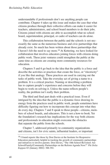understandable if professionals don't see anything people can contribute. Chapter 4 takes up this issue and makes the case that what citizens produce through their collective efforts can make it easier for teachers, administrators, and school board members to do their jobs. Citizens joined with citizens are able to accomplish what no school board, superintendent, principal, or cadre of teachers can do alone.

This collaboration between the public and the schools is not necessarily the same as the numerous business and civic partnerships that already exist. So much has been written about those partnerships that I haven't felt the need to say more.18 At Kettering, we have looked for collaboration that involves educators joining forces with citizens doing public work. These joint ventures could strengthen the public at the same time as citizens are creating more community resources for education.

Chapters 5 and 6 go back to the idea that the public is a force and describe the activities or practices that create the force, or "electricity" if you like that analogy. These practices are used in carrying out the tasks of public work. Take the everyday act of giving a name to a problem. It is a critical practice. Naming or describing a problem has to capture people's experience and concerns before they will begin to work on solving it. Unless the name reflects people's reality, the problem isn't really their problem.

The third and final part deals with a practical issue. Even if intrigued by the idea that the public is a dynamic force drawing its energy from the practices used in public work, people sometimes have difficulty figuring out how to incorporate this concept into what they do every day. Chapters 7 and 8 speak to those people—citizens, members of school boards, and educators. This is not a how-to book. Yet the foundation's research has implications for the way both citizens and professionals in education might overcome the obstacles that separate the public from the schools.

Chapter 7, addressed primarily to community organizations and citizens, isn't for civic saints, influential leaders, or important

<sup>&</sup>lt;sup>18</sup> I found reports like those by Don Davies at the Institute for Responsive Education particularly helpful in tracking the growth of community partnerships and initiatives to involve parents. Don Davies, "The 10th School Revisited: Are School/Family/Community Partnerships on the Reform Agenda Now?" *Phi Delta Kappan* 83 (January 2002): 388-392.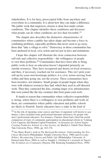stakeholders. It is for busy, preoccupied folks from anywhere and everywhere in a community. It is about how they can make a difference. The public work that empowers citizens is done best under certain conditions. This chapter identifies those conditions and discusses what people can do when conditions are less than favorable.<sup>19</sup>

The chapter also describes the distinctive characteristics of communities where a public has taken shape and become a force in combating problems, especially problems that never seem to go away, those that "take a village to solve." Democracy in those communities has been anchored in local, civic action and not just in laws and institutions.

I hope this chapter will illustrate the close connection between self-rule and collective responsibility—the willingness of people to own their problems.20 Communities that have been able to bring public work to bear on education haven't depended primarily on outside resources. They have recognized and drawn on local resources, and then, if necessary, reached out for assistance. This isn't pick-yourself-up-by-your-own-bootstraps politics; it is civic action moving from within and then going out, not the reverse. These communities have been inventive, not imitative. Small groups of people began where they were with whatever resources they had, which they used in self-directed work. Then they connected the dots, creating larger civic infrastructures that were joined like the tiny creatures that form giant coral reefs.

It stands to reason that communities where collective responsibility is strong, where there is a willingness to own problems and work on them, are communities where public education and public schools are likely to flourish. Surely educators have a stake in the kind of

20 See Harry Boyte's work in *The Backyard Revolution: Understanding the New Citizen Movement* (Philadelphia: Temple University Press, 1980) and *Everyday Politics: Reconnecting Citizens and Public Life* (Philadelphia: University of Pennsylvania Press, 2004) as well as Vaughn L. Grisham Jr.'s research on *Tupelo: The Evolution of a Community* (Dayton, OH: Kettering Foundation Press, 1999).

<sup>&</sup>lt;sup>19</sup> At the risk of repeating some sources and lines of argument well known to academics, I have included some professional literature references for people who aren't professional educators. For instance, Clarence Stone had a brief but useful comparison of types of community participation in educational reform in "Linking Civic Capacity and Human Capital Formation," in *Strategies for School Equity: Creating Productive Schools in a Just Society*, ed. Marilyn J. Gittell (New Haven: Yale University Press, 1998), pp. 163-176.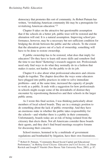democracy that promotes this sort of community. As Robert Putnam has written, "revitalizing American community life may be a prerequisite for revitalizing American education."21

Chapter 8 takes on the attractive but questionable assumption that if the schools do a better job, public trust will be restored and the alienation will end. It is a natural assumption. Improving school performance, however, may be a necessary but not sufficient condition for bridging the divide between the public and the schools. To the extent that the alienation grows out of a lack of ownership, something will have to be done to restore ownership.

If public ownership has to be restored, what does that imply for educators? Do they have to learn still more skills and somehow find the time to use them? Kettering's research suggests not. Professionals need only find ways to do what they normally do in a fashion that makes it easier, not harder, for the public to do its job.

Chapter 8 is also about what professional educators and citizens might do together. The chapter describes the ways some educators have plugged into public practices in order to solve immediate problems—and, at the same time, increased the capacity of people to work as a public. It ends with a suggestion for how professionals in schools might escape some of the downdrafts of distrust they encounter by repositioning themselves and their schools in the larger public arena.

As I wrote this final section, I was thinking particularly about members of local school boards. They are in a strategic position to do something about the lack of public ownership. And they have an enormous stake in whether the public takes responsibility for the schools—and whether there is a public in their community. Unfortunately, boards today are at risk of being isolated from the citizenry that elects them. Not all Americans consider these boards their agents, and they don't find board meetings receptive forums for discussing their concerns.

School trustees, hemmed in by a multitude of government regulations and bombarded by litigation, have their own frustrations.

<sup>21</sup> Robert D. Putnam, "Community-Based Social Capital and Educational Performance," in *Making Good Citizens: Education and Civil Society*, ed. Diane Ravitch and Joseph P. Viteritti (New Haven: Yale University Press, 2001), p. 87.